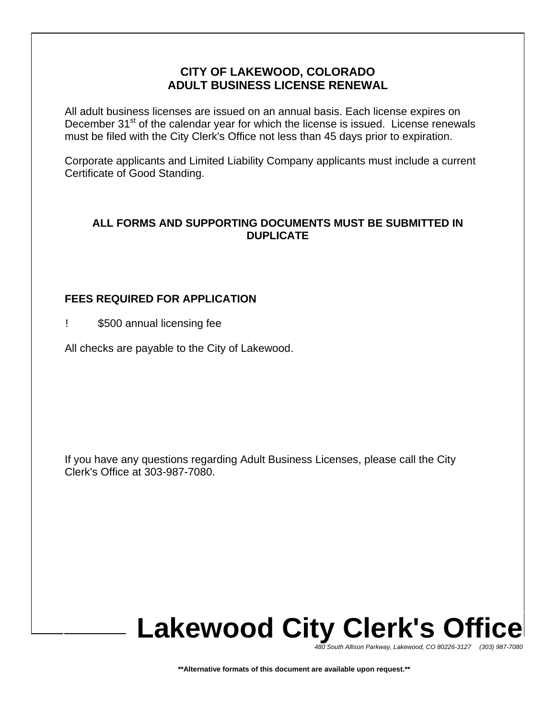## **CITY OF LAKEWOOD, COLORADO ADULT BUSINESS LICENSE RENEWAL**

All adult business licenses are issued on an annual basis. Each license expires on December 31<sup>st</sup> of the calendar year for which the license is issued. License renewals must be filed with the City Clerk's Office not less than 45 days prior to expiration.

Corporate applicants and Limited Liability Company applicants must include a current Certificate of Good Standing.

### **ALL FORMS AND SUPPORTING DOCUMENTS MUST BE SUBMITTED IN DUPLICATE**

## **FEES REQUIRED FOR APPLICATION**

! \$500 annual licensing fee

All checks are payable to the City of Lakewood.

If you have any questions regarding Adult Business Licenses, please call the City Clerk's Office at 303-987-7080.

# **Lakewood City Clerk's Office**

*480 South Allison Parkway, Lakewood, CO 80226-3127 (303) 987-7080*

**\*\*Alternative formats of this document are available upon request.\*\***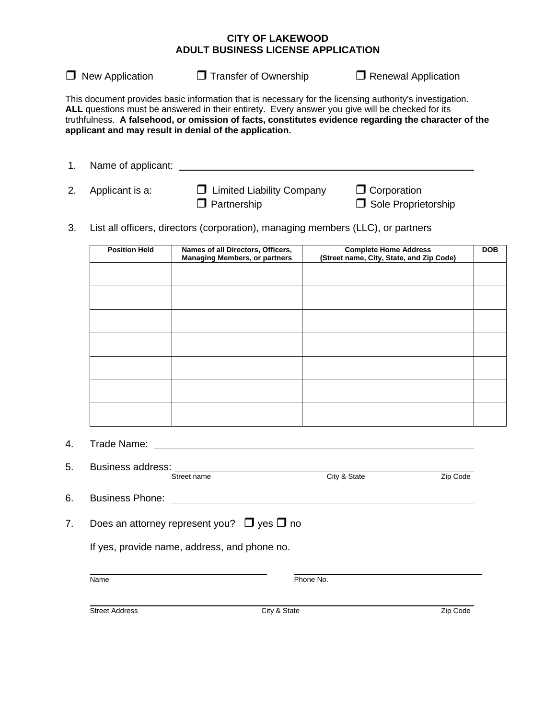### **CITY OF LAKEWOOD ADULT BUSINESS LICENSE APPLICATION**

 $\Box$  New Application  $\Box$  Transfer of Ownership  $\Box$  Renewal Application

This document provides basic information that is necessary for the licensing authority's investigation. **ALL** questions must be answered in their entirety. Every answer you give will be checked for its truthfulness. **A falsehood, or omission of facts, constitutes evidence regarding the character of the applicant and may result in denial of the application.** 

| Name of applicant: |                                  |                     |
|--------------------|----------------------------------|---------------------|
|                    |                                  |                     |
| 2. Applicant is a: | $\Box$ Limited Liability Company | $\Box$ Corporation  |
|                    | $\Box$ Partnership               | Sole Proprietorship |

3. List all officers, directors (corporation), managing members (LLC), or partners

| <b>Position Held</b> | Names of all Directors, Officers,<br><b>Managing Members, or partners</b> | <b>Complete Home Address</b><br>(Street name, City, State, and Zip Code) | <b>DOB</b> |
|----------------------|---------------------------------------------------------------------------|--------------------------------------------------------------------------|------------|
|                      |                                                                           |                                                                          |            |
|                      |                                                                           |                                                                          |            |
|                      |                                                                           |                                                                          |            |
|                      |                                                                           |                                                                          |            |
|                      |                                                                           |                                                                          |            |
|                      |                                                                           |                                                                          |            |
|                      |                                                                           |                                                                          |            |
|                      |                                                                           |                                                                          |            |

4. Trade Name:

| 5. | <b>Business address:</b>                             |              |          |  |  |
|----|------------------------------------------------------|--------------|----------|--|--|
|    | Street name                                          | City & State | Zip Code |  |  |
| 6. | <b>Business Phone:</b>                               |              |          |  |  |
| 7. | Does an attorney represent you? $\Box$ yes $\Box$ no |              |          |  |  |
|    | If yes, provide name, address, and phone no.         |              |          |  |  |
|    | Name                                                 | Phone No.    |          |  |  |
|    | <b>Street Address</b>                                | City & State | Zip Code |  |  |